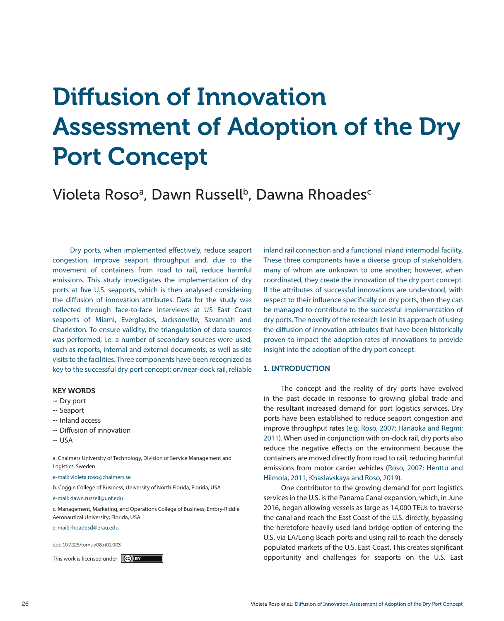# Diffusion of Innovation Assessment of Adoption of the Dry Port Concept

Violeta Roso $^{\rm a}$ , Dawn Russell $^{\rm b}$ , Dawna Rhoades $^{\rm c}$ 

Dry ports, when implemented effectively, reduce seaport congestion, improve seaport throughput and, due to the movement of containers from road to rail, reduce harmful emissions. This study investigates the implementation of dry ports at five U.S. seaports, which is then analysed considering the diffusion of innovation attributes. Data for the study was collected through face-to-face interviews at US East Coast seaports of Miami, Everglades, Jacksonville, Savannah and Charleston. To ensure validity, the triangulation of data sources was performed; i.e. a number of secondary sources were used, such as reports, internal and external documents, as well as site visits to the facilities. Three components have been recognized as key to the successful dry port concept: on/near-dock rail, reliable

#### KEY WORDS

- $\sim$  Dry port
- ~ Seaport
- ~ Inland access
- $\sim$  Diffusion of innovation
- $\sim$  USA

a. Chalmers University of Technology, Division of Service Management and Logistics, Sweden

e-mail: violeta.roso@chalmers.se

b. Coggin College of Business, University of North Florida, Florida, USA

e-mail: dawn.russell@unf.edu

c. Management, Marketing, and Operations College of Business, Embry-Riddle Aeronautical University; Florida, USA

e-mail: rhoadesd@erau.edu

doi: 10.7225/toms.v08.n01.003

inland rail connection and a functional inland intermodal facility. These three components have a diverse group of stakeholders, many of whom are unknown to one another; however, when coordinated, they create the innovation of the dry port concept. If the attributes of successful innovations are understood, with respect to their influence specifically on dry ports, then they can be managed to contribute to the successful implementation of dry ports. The novelty of the research lies in its approach of using the diffusion of innovation attributes that have been historically proven to impact the adoption rates of innovations to provide insight into the adoption of the dry port concept.

#### 1. INTRODUCTION

The concept and the reality of dry ports have evolved in the past decade in response to growing global trade and the resultant increased demand for port logistics services. Dry ports have been established to reduce seaport congestion and improve throughput rates (e.g. Roso, 2007; Hanaoka and Regmi; 2011). When used in conjunction with on-dock rail, dry ports also reduce the negative effects on the environment because the containers are moved directly from road to rail, reducing harmful emissions from motor carrier vehicles (Roso, 2007; Henttu and Hilmola, 2011, Khaslavskaya and Roso, 2019).

One contributor to the growing demand for port logistics services in the U.S. is the Panama Canal expansion, which, in June 2016, began allowing vessels as large as 14,000 TEUs to traverse the canal and reach the East Coast of the U.S. directly, bypassing the heretofore heavily used land bridge option of entering the U.S. via LA/Long Beach ports and using rail to reach the densely populated markets of the U.S. East Coast. This creates significant This work is licensed under opportunity and challenges for seaports on the U.S. East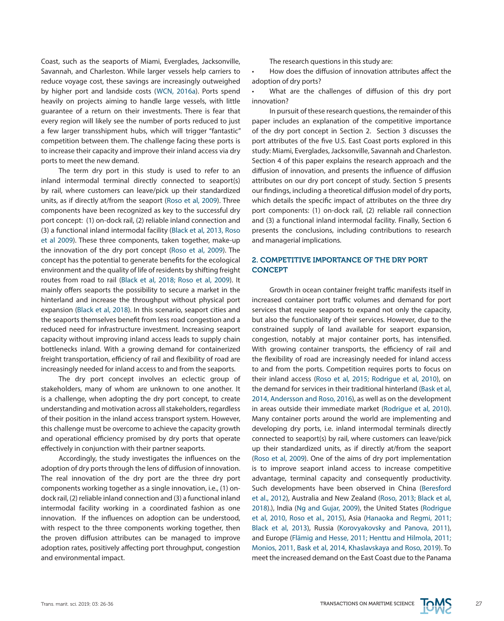Coast, such as the seaports of Miami, Everglades, Jacksonville, Savannah, and Charleston. While larger vessels help carriers to reduce voyage cost, these savings are increasingly outweighed by higher port and landside costs (WCN, 2016a). Ports spend heavily on projects aiming to handle large vessels, with little guarantee of a return on their investments. There is fear that every region will likely see the number of ports reduced to just a few larger transshipment hubs, which will trigger "fantastic" competition between them. The challenge facing these ports is to increase their capacity and improve their inland access via dry ports to meet the new demand.

The term dry port in this study is used to refer to an inland intermodal terminal directly connected to seaport(s) by rail, where customers can leave/pick up their standardized units, as if directly at/from the seaport (Roso et al, 2009). Three components have been recognized as key to the successful dry port concept: (1) on-dock rail, (2) reliable inland connection and (3) a functional inland intermodal facility (Black et al, 2013, Roso et al 2009). These three components, taken together, make-up the innovation of the dry port concept (Roso et al, 2009). The concept has the potential to generate benefits for the ecological environment and the quality of life of residents by shifting freight routes from road to rail (Black et al, 2018; Roso et al, 2009). It mainly offers seaports the possibility to secure a market in the hinterland and increase the throughput without physical port expansion (Black et al, 2018). In this scenario, seaport cities and the seaports themselves benefit from less road congestion and a reduced need for infrastructure investment. Increasing seaport capacity without improving inland access leads to supply chain bottlenecks inland. With a growing demand for containerized freight transportation, efficiency of rail and flexibility of road are increasingly needed for inland access to and from the seaports.

The dry port concept involves an eclectic group of stakeholders, many of whom are unknown to one another. It is a challenge, when adopting the dry port concept, to create understanding and motivation across all stakeholders, regardless of their position in the inland access transport system. However, this challenge must be overcome to achieve the capacity growth and operational efficiency promised by dry ports that operate effectively in conjunction with their partner seaports.

Accordingly, the study investigates the influences on the adoption of dry ports through the lens of diffusion of innovation. The real innovation of the dry port are the three dry port components working together as a single innovation, i.e., (1) ondock rail, (2) reliable inland connection and (3) a functional inland intermodal facility working in a coordinated fashion as one innovation. If the influences on adoption can be understood, with respect to the three components working together, then the proven diffusion attributes can be managed to improve adoption rates, positively affecting port throughput, congestion and environmental impact.

The research questions in this study are:

How does the diffusion of innovation attributes affect the adoption of dry ports?

What are the challenges of diffusion of this dry port innovation?

In pursuit of these research questions, the remainder of this paper includes an explanation of the competitive importance of the dry port concept in Section 2. Section 3 discusses the port attributes of the five U.S. East Coast ports explored in this study: Miami, Everglades, Jacksonville, Savannah and Charleston. Section 4 of this paper explains the research approach and the diffusion of innovation, and presents the influence of diffusion attributes on our dry port concept of study. Section 5 presents our findings, including a theoretical diffusion model of dry ports, which details the specific impact of attributes on the three dry port components: (1) on-dock rail, (2) reliable rail connection and (3) a functional inland intermodal facility. Finally, Section 6 presents the conclusions, including contributions to research and managerial implications.

# 2. COMPETITIVE IMPORTANCE OF THE DRY PORT **CONCEPT**

Growth in ocean container freight traffic manifests itself in increased container port traffic volumes and demand for port services that require seaports to expand not only the capacity, but also the functionality of their services. However, due to the constrained supply of land available for seaport expansion, congestion, notably at major container ports, has intensified. With growing container transports, the efficiency of rail and the flexibility of road are increasingly needed for inland access to and from the ports. Competition requires ports to focus on their inland access (Roso et al, 2015; Rodrigue et al, 2010), on the demand for services in their traditional hinterland (Bask et al, 2014, Andersson and Roso, 2016), as well as on the development in areas outside their immediate market (Rodrigue et al, 2010). Many container ports around the world are implementing and developing dry ports, i.e. inland intermodal terminals directly connected to seaport(s) by rail, where customers can leave/pick up their standardized units, as if directly at/from the seaport (Roso et al, 2009). One of the aims of dry port implementation is to improve seaport inland access to increase competitive advantage, terminal capacity and consequently productivity. Such developments have been observed in China (Beresford et al., 2012), Australia and New Zealand (Roso, 2013; Black et al, 2018).), India (Ng and Gujar, 2009), the United States (Rodrigue et al, 2010, Roso et al., 2015), Asia (Hanaoka and Regmi, 2011; Black et al, 2013), Russia (Korovyakovsky and Panova, 2011), and Europe (Flämig and Hesse, 2011; Henttu and Hilmola, 2011; Monios, 2011, Bask et al, 2014, Khaslavskaya and Roso, 2019). To meet the increased demand on the East Coast due to the Panama

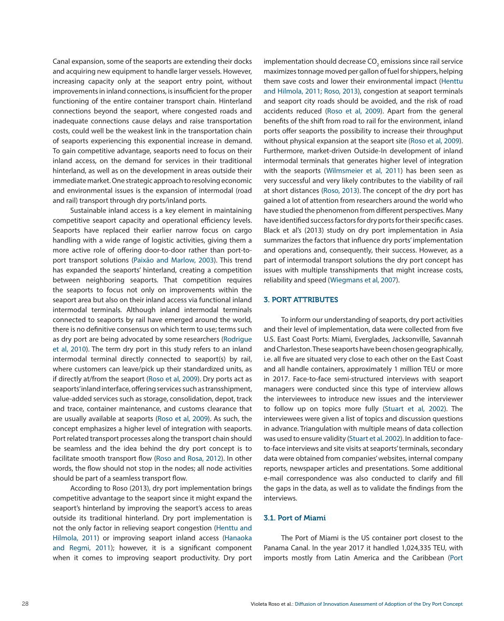Canal expansion, some of the seaports are extending their docks and acquiring new equipment to handle larger vessels. However, increasing capacity only at the seaport entry point, without improvements in inland connections, is insufficient for the proper functioning of the entire container transport chain. Hinterland connections beyond the seaport, where congested roads and inadequate connections cause delays and raise transportation costs, could well be the weakest link in the transportation chain of seaports experiencing this exponential increase in demand. To gain competitive advantage, seaports need to focus on their inland access, on the demand for services in their traditional hinterland, as well as on the development in areas outside their immediate market. One strategic approach to resolving economic and environmental issues is the expansion of intermodal (road and rail) transport through dry ports/inland ports.

Sustainable inland access is a key element in maintaining competitive seaport capacity and operational efficiency levels. Seaports have replaced their earlier narrow focus on cargo handling with a wide range of logistic activities, giving them a more active role of offering door-to-door rather than port-toport transport solutions (Paixão and Marlow, 2003). This trend has expanded the seaports' hinterland, creating a competition between neighboring seaports. That competition requires the seaports to focus not only on improvements within the seaport area but also on their inland access via functional inland intermodal terminals. Although inland intermodal terminals connected to seaports by rail have emerged around the world, there is no definitive consensus on which term to use; terms such as dry port are being advocated by some researchers (Rodrigue et al, 2010). The term dry port in this study refers to an inland intermodal terminal directly connected to seaport(s) by rail, where customers can leave/pick up their standardized units, as if directly at/from the seaport (Roso et al, 2009). Dry ports act as seaports' inland interface, offering services such as transshipment, value-added services such as storage, consolidation, depot, track and trace, container maintenance, and customs clearance that are usually available at seaports (Roso et al, 2009). As such, the concept emphasizes a higher level of integration with seaports. Port related transport processes along the transport chain should be seamless and the idea behind the dry port concept is to facilitate smooth transport flow (Roso and Rosa, 2012). In other words, the flow should not stop in the nodes; all node activities should be part of a seamless transport flow.

According to Roso (2013), dry port implementation brings competitive advantage to the seaport since it might expand the seaport's hinterland by improving the seaport's access to areas outside its traditional hinterland. Dry port implementation is not the only factor in relieving seaport congestion (Henttu and Hilmola, 2011) or improving seaport inland access (Hanaoka and Regmi, 2011); however, it is a significant component when it comes to improving seaport productivity. Dry port implementation should decrease CO $_{\textrm{\tiny{2}}}$  emissions since rail service maximizes tonnage moved per gallon of fuel for shippers, helping them save costs and lower their environmental impact (Henttu and Hilmola, 2011; Roso, 2013), congestion at seaport terminals and seaport city roads should be avoided, and the risk of road accidents reduced (Roso et al, 2009). Apart from the general benefits of the shift from road to rail for the environment, inland ports offer seaports the possibility to increase their throughput without physical expansion at the seaport site (Roso et al, 2009). Furthermore, market-driven Outside-In development of inland intermodal terminals that generates higher level of integration with the seaports (Wilmsmeier et al, 2011) has been seen as very successful and very likely contributes to the viability of rail at short distances (Roso, 2013). The concept of the dry port has gained a lot of attention from researchers around the world who have studied the phenomenon from different perspectives. Many have identified success factors for dry ports for their specific cases. Black et al's (2013) study on dry port implementation in Asia summarizes the factors that influence dry ports' implementation and operations and, consequently, their success. However, as a part of intermodal transport solutions the dry port concept has issues with multiple transshipments that might increase costs, reliability and speed (Wiegmans et al, 2007).

#### 3. PORT ATTRIBUTES

To inform our understanding of seaports, dry port activities and their level of implementation, data were collected from five U.S. East Coast Ports: Miami, Everglades, Jacksonville, Savannah and Charleston. These seaports have been chosen geographically, i.e. all five are situated very close to each other on the East Coast and all handle containers, approximately 1 million TEU or more in 2017. Face-to-face semi-structured interviews with seaport managers were conducted since this type of interview allows the interviewees to introduce new issues and the interviewer to follow up on topics more fully (Stuart et al, 2002). The interviewees were given a list of topics and discussion questions in advance. Triangulation with multiple means of data collection was used to ensure validity (Stuart et al. 2002). In addition to faceto-face interviews and site visits at seaports' terminals, secondary data were obtained from companies' websites, internal company reports, newspaper articles and presentations. Some additional e-mail correspondence was also conducted to clarify and fill the gaps in the data, as well as to validate the findings from the interviews.

## 3.1. Port of Miami

The Port of Miami is the US container port closest to the Panama Canal. In the year 2017 it handled 1,024,335 TEU, with imports mostly from Latin America and the Caribbean (Port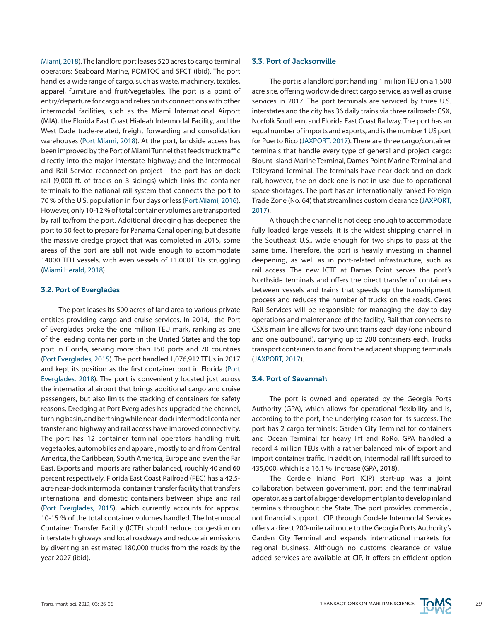Miami, 2018). The landlord port leases 520 acres to cargo terminal operators: Seaboard Marine, POMTOC and SFCT (ibid). The port handles a wide range of cargo, such as waste, machinery, textiles, apparel, furniture and fruit/vegetables. The port is a point of entry/departure for cargo and relies on its connections with other intermodal facilities, such as the Miami International Airport (MIA), the Florida East Coast Hialeah Intermodal Facility, and the West Dade trade-related, freight forwarding and consolidation warehouses (Port Miami, 2018). At the port, landside access has been improved by the Port of Miami Tunnel that feeds truck traffic directly into the major interstate highway; and the Intermodal and Rail Service reconnection project - the port has on-dock rail (9,000 ft. of tracks on 3 sidings) which links the container terminals to the national rail system that connects the port to 70 % of the U.S. population in four days or less (Port Miami, 2016). However, only 10-12 % of total container volumes are transported by rail to/from the port. Additional dredging has deepened the port to 50 feet to prepare for Panama Canal opening, but despite the massive dredge project that was completed in 2015, some areas of the port are still not wide enough to accommodate 14000 TEU vessels, with even vessels of 11,000TEUs struggling (Miami Herald, 2018).

## 3.2. Port of Everglades

The port leases its 500 acres of land area to various private entities providing cargo and cruise services. In 2014, the Port of Everglades broke the one million TEU mark, ranking as one of the leading container ports in the United States and the top port in Florida, serving more than 150 ports and 70 countries (Port Everglades, 2015). The port handled 1,076,912 TEUs in 2017 and kept its position as the first container port in Florida (Port Everglades, 2018). The port is conveniently located just across the international airport that brings additional cargo and cruise passengers, but also limits the stacking of containers for safety reasons. Dredging at Port Everglades has upgraded the channel, turning basin, and berthing while near-dock intermodal container transfer and highway and rail access have improved connectivity. The port has 12 container terminal operators handling fruit, vegetables, automobiles and apparel, mostly to and from Central America, the Caribbean, South America, Europe and even the Far East. Exports and imports are rather balanced, roughly 40 and 60 percent respectively. Florida East Coast Railroad (FEC) has a 42.5 acre near-dock intermodal container transfer facility that transfers international and domestic containers between ships and rail (Port Everglades, 2015), which currently accounts for approx. 10-15 % of the total container volumes handled. The Intermodal Container Transfer Facility (ICTF) should reduce congestion on interstate highways and local roadways and reduce air emissions by diverting an estimated 180,000 trucks from the roads by the year 2027 (ibid).

#### 3.3. Port of Jacksonville

The port is a landlord port handling 1 million TEU on a 1,500 acre site, offering worldwide direct cargo service, as well as cruise services in 2017. The port terminals are serviced by three U.S. interstates and the city has 36 daily trains via three railroads: CSX, Norfolk Southern, and Florida East Coast Railway. The port has an equal number of imports and exports, and is the number 1 US port for Puerto Rico (JAXPORT, 2017). There are three cargo/container terminals that handle every type of general and project cargo: Blount Island Marine Terminal, Dames Point Marine Terminal and Talleyrand Terminal. The terminals have near-dock and on-dock rail, however, the on-dock one is not in use due to operational space shortages. The port has an internationally ranked Foreign Trade Zone (No. 64) that streamlines custom clearance (JAXPORT, 2017).

Although the channel is not deep enough to accommodate fully loaded large vessels, it is the widest shipping channel in the Southeast U.S., wide enough for two ships to pass at the same time. Therefore, the port is heavily investing in channel deepening, as well as in port-related infrastructure, such as rail access. The new ICTF at Dames Point serves the port's Northside terminals and offers the direct transfer of containers between vessels and trains that speeds up the transshipment process and reduces the number of trucks on the roads. Ceres Rail Services will be responsible for managing the day-to-day operations and maintenance of the facility. Rail that connects to CSX's main line allows for two unit trains each day (one inbound and one outbound), carrying up to 200 containers each. Trucks transport containers to and from the adjacent shipping terminals (JAXPORT, 2017).

#### 3.4. Port of Savannah

The port is owned and operated by the Georgia Ports Authority (GPA), which allows for operational flexibility and is, according to the port, the underlying reason for its success. The port has 2 cargo terminals: Garden City Terminal for containers and Ocean Terminal for heavy lift and RoRo. GPA handled a record 4 million TEUs with a rather balanced mix of export and import container traffic. In addition, intermodal rail lift surged to 435,000, which is a 16.1 % increase (GPA, 2018).

The Cordele Inland Port (CIP) start-up was a joint collaboration between government, port and the terminal/rail operator, as a part of a bigger development plan to develop inland terminals throughout the State. The port provides commercial, not financial support. CIP through Cordele Intermodal Services offers a direct 200-mile rail route to the Georgia Ports Authority's Garden City Terminal and expands international markets for regional business. Although no customs clearance or value added services are available at CIP, it offers an efficient option

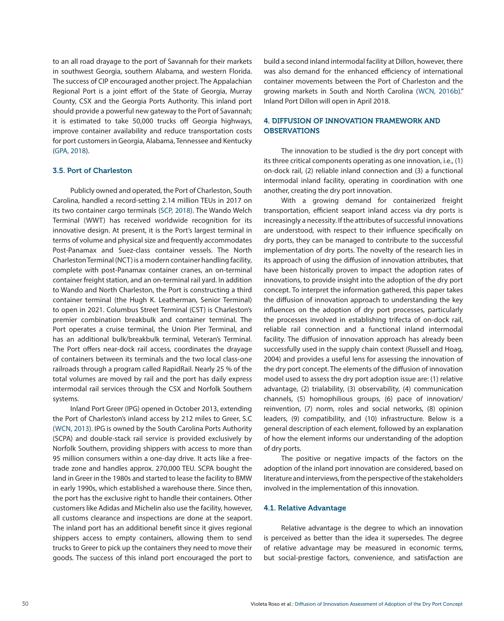to an all road drayage to the port of Savannah for their markets in southwest Georgia, southern Alabama, and western Florida. The success of CIP encouraged another project. The Appalachian Regional Port is a joint effort of the State of Georgia, Murray County, CSX and the Georgia Ports Authority. This inland port should provide a powerful new gateway to the Port of Savannah; it is estimated to take 50,000 trucks off Georgia highways, improve container availability and reduce transportation costs for port customers in Georgia, Alabama, Tennessee and Kentucky (GPA, 2018).

# 3.5. Port of Charleston

Publicly owned and operated, the Port of Charleston, South Carolina, handled a record-setting 2.14 million TEUs in 2017 on its two container cargo terminals (SCP, 2018). The Wando Welch Terminal (WWT) has received worldwide recognition for its innovative design. At present, it is the Port's largest terminal in terms of volume and physical size and frequently accommodates Post-Panamax and Suez-class container vessels. The North Charleston Terminal (NCT) is a modern container handling facility, complete with post-Panamax container cranes, an on-terminal container freight station, and an on-terminal rail yard. In addition to Wando and North Charleston, the Port is constructing a third container terminal (the Hugh K. Leatherman, Senior Terminal) to open in 2021. Columbus Street Terminal (CST) is Charleston's premier combination breakbulk and container terminal. The Port operates a cruise terminal, the Union Pier Terminal, and has an additional bulk/breakbulk terminal, Veteran's Terminal. The Port offers near-dock rail access, coordinates the drayage of containers between its terminals and the two local class-one railroads through a program called RapidRail. Nearly 25 % of the total volumes are moved by rail and the port has daily express intermodal rail services through the CSX and Norfolk Southern systems.

Inland Port Greer (IPG) opened in October 2013, extending the Port of Charleston's inland access by 212 miles to Greer, S.C (WCN, 2013). IPG is owned by the South Carolina Ports Authority (SCPA) and double-stack rail service is provided exclusively by Norfolk Southern, providing shippers with access to more than 95 million consumers within a one-day drive. It acts like a freetrade zone and handles approx. 270,000 TEU. SCPA bought the land in Greer in the 1980s and started to lease the facility to BMW in early 1990s, which established a warehouse there. Since then, the port has the exclusive right to handle their containers. Other customers like Adidas and Michelin also use the facility, however, all customs clearance and inspections are done at the seaport. The inland port has an additional benefit since it gives regional shippers access to empty containers, allowing them to send trucks to Greer to pick up the containers they need to move their goods. The success of this inland port encouraged the port to build a second inland intermodal facility at Dillon, however, there was also demand for the enhanced efficiency of international container movements between the Port of Charleston and the growing markets in South and North Carolina (WCN, 2016b)." Inland Port Dillon will open in April 2018.

# 4. DIFFUSION OF INNOVATION FRAMEWORK AND **OBSERVATIONS**

The innovation to be studied is the dry port concept with its three critical components operating as one innovation, i.e., (1) on-dock rail, (2) reliable inland connection and (3) a functional intermodal inland facility, operating in coordination with one another, creating the dry port innovation.

With a growing demand for containerized freight transportation, efficient seaport inland access via dry ports is increasingly a necessity. If the attributes of successful innovations are understood, with respect to their influence specifically on dry ports, they can be managed to contribute to the successful implementation of dry ports. The novelty of the research lies in its approach of using the diffusion of innovation attributes, that have been historically proven to impact the adoption rates of innovations, to provide insight into the adoption of the dry port concept. To interpret the information gathered, this paper takes the diffusion of innovation approach to understanding the key influences on the adoption of dry port processes, particularly the processes involved in establishing trifecta of on-dock rail, reliable rail connection and a functional inland intermodal facility. The diffusion of innovation approach has already been successfully used in the supply chain context (Russell and Hoag, 2004) and provides a useful lens for assessing the innovation of the dry port concept. The elements of the diffusion of innovation model used to assess the dry port adoption issue are: (1) relative advantage, (2) trialability, (3) observability, (4) communication channels, (5) homophilious groups, (6) pace of innovation/ reinvention, (7) norm, roles and social networks, (8) opinion leaders, (9) compatibility, and (10) infrastructure. Below is a general description of each element, followed by an explanation of how the element informs our understanding of the adoption of dry ports.

The positive or negative impacts of the factors on the adoption of the inland port innovation are considered, based on literature and interviews, from the perspective of the stakeholders involved in the implementation of this innovation.

# 4.1. Relative Advantage

Relative advantage is the degree to which an innovation is perceived as better than the idea it supersedes. The degree of relative advantage may be measured in economic terms, but social-prestige factors, convenience, and satisfaction are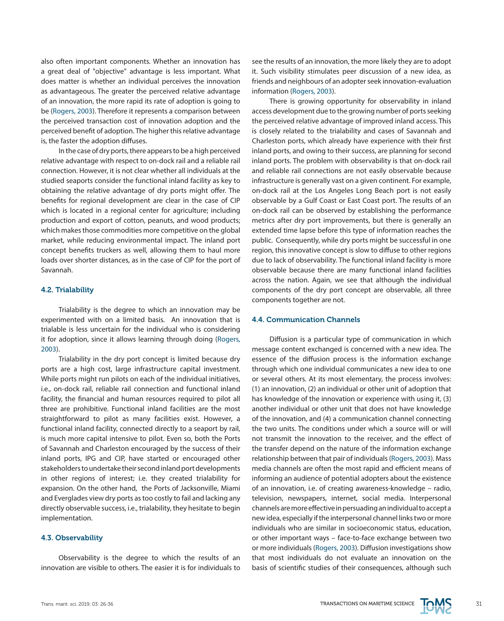also often important components. Whether an innovation has a great deal of "objective" advantage is less important. What does matter is whether an individual perceives the innovation as advantageous. The greater the perceived relative advantage of an innovation, the more rapid its rate of adoption is going to be (Rogers, 2003). Therefore it represents a comparison between the perceived transaction cost of innovation adoption and the perceived benefit of adoption. The higher this relative advantage is, the faster the adoption diffuses.

In the case of dry ports, there appears to be a high perceived relative advantage with respect to on-dock rail and a reliable rail connection. However, it is not clear whether all individuals at the studied seaports consider the functional inland facility as key to obtaining the relative advantage of dry ports might offer. The benefits for regional development are clear in the case of CIP which is located in a regional center for agriculture; including production and export of cotton, peanuts, and wood products; which makes those commodities more competitive on the global market, while reducing environmental impact. The inland port concept benefits truckers as well, allowing them to haul more loads over shorter distances, as in the case of CIP for the port of Savannah.

# 4.2. Trialability

Trialability is the degree to which an innovation may be experimented with on a limited basis. An innovation that is trialable is less uncertain for the individual who is considering it for adoption, since it allows learning through doing (Rogers, 2003).

Trialability in the dry port concept is limited because dry ports are a high cost, large infrastructure capital investment. While ports might run pilots on each of the individual initiatives, i.e., on-dock rail, reliable rail connection and functional inland facility, the financial and human resources required to pilot all three are prohibitive. Functional inland facilities are the most straightforward to pilot as many facilities exist. However, a functional inland facility, connected directly to a seaport by rail, is much more capital intensive to pilot. Even so, both the Ports of Savannah and Charleston encouraged by the success of their inland ports, IPG and CIP, have started or encouraged other stakeholders to undertake their second inland port developments in other regions of interest; i.e. they created trialability for expansion. On the other hand, the Ports of Jacksonville, Miami and Everglades view dry ports as too costly to fail and lacking any directly observable success, i.e., trialability, they hesitate to begin implementation.

#### 4.3. Observability

Observability is the degree to which the results of an innovation are visible to others. The easier it is for individuals to see the results of an innovation, the more likely they are to adopt it. Such visibility stimulates peer discussion of a new idea, as friends and neighbours of an adopter seek innovation-evaluation information (Rogers, 2003).

There is growing opportunity for observability in inland access development due to the growing number of ports seeking the perceived relative advantage of improved inland access. This is closely related to the trialability and cases of Savannah and Charleston ports, which already have experience with their first inland ports, and owing to their success, are planning for second inland ports. The problem with observability is that on-dock rail and reliable rail connections are not easily observable because infrastructure is generally vast on a given continent. For example, on-dock rail at the Los Angeles Long Beach port is not easily observable by a Gulf Coast or East Coast port. The results of an on-dock rail can be observed by establishing the performance metrics after dry port improvements, but there is generally an extended time lapse before this type of information reaches the public. Consequently, while dry ports might be successful in one region, this innovative concept is slow to diffuse to other regions due to lack of observability. The functional inland facility is more observable because there are many functional inland facilities across the nation. Again, we see that although the individual components of the dry port concept are observable, all three components together are not.

## 4.4. Communication Channels

Diffusion is a particular type of communication in which message content exchanged is concerned with a new idea. The essence of the diffusion process is the information exchange through which one individual communicates a new idea to one or several others. At its most elementary, the process involves: (1) an innovation, (2) an individual or other unit of adoption that has knowledge of the innovation or experience with using it, (3) another individual or other unit that does not have knowledge of the innovation, and (4) a communication channel connecting the two units. The conditions under which a source will or will not transmit the innovation to the receiver, and the effect of the transfer depend on the nature of the information exchange relationship between that pair of individuals (Rogers, 2003). Mass media channels are often the most rapid and efficient means of informing an audience of potential adopters about the existence of an innovation, i.e. of creating awareness-knowledge – radio, television, newspapers, internet, social media. Interpersonal channels are more effective in persuading an individual to accept a new idea, especially if the interpersonal channel links two or more individuals who are similar in socioeconomic status, education, or other important ways – face-to-face exchange between two or more individuals (Rogers, 2003). Diffusion investigations show that most individuals do not evaluate an innovation on the basis of scientific studies of their consequences, although such

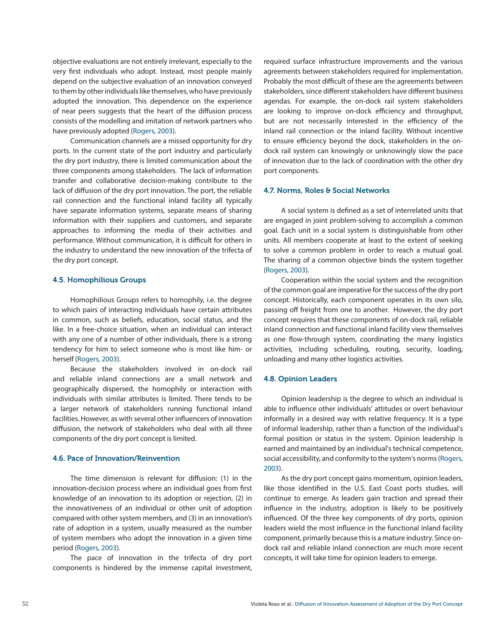objective evaluations are not entirely irrelevant, especially to the very first individuals who adopt. Instead, most people mainly depend on the subjective evaluation of an innovation conveyed to them by other individuals like themselves, who have previously adopted the innovation. This dependence on the experience of near peers suggests that the heart of the diffusion process consists of the modelling and imitation of network partners who have previously adopted (Rogers, 2003).

Communication channels are a missed opportunity for dry ports. In the current state of the port industry and particularly the dry port industry, there is limited communication about the three components among stakeholders. The lack of information transfer and collaborative decision-making contribute to the lack of diffusion of the dry port innovation. The port, the reliable rail connection and the functional inland facility all typically have separate information systems, separate means of sharing information with their suppliers and customers, and separate approaches to informing the media of their activities and performance. Without communication, it is difficult for others in the industry to understand the new innovation of the trifecta of the dry port concept.

## 4.5. Homophilious Groups

Homophilious Groups refers to homophily, i.e. the degree to which pairs of interacting individuals have certain attributes in common, such as beliefs, education, social status, and the like. In a free-choice situation, when an individual can interact with any one of a number of other individuals, there is a strong tendency for him to select someone who is most like him- or herself (Rogers, 2003).

Because the stakeholders involved in on-dock rail and reliable inland connections are a small network and geographically dispersed, the homophily or interaction with individuals with similar attributes is limited. There tends to be a larger network of stakeholders running functional inland facilities. However, as with several other influencers of innovation diffusion, the network of stakeholders who deal with all three components of the dry port concept is limited.

### 4.6. Pace of Innovation/Reinvention

The time dimension is relevant for diffusion: (1) in the innovation-decision process where an individual goes from first knowledge of an innovation to its adoption or rejection, (2) in the innovativeness of an individual or other unit of adoption compared with other system members, and (3) in an innovation's rate of adoption in a system, usually measured as the number of system members who adopt the innovation in a given time period (Rogers, 2003).

The pace of innovation in the trifecta of dry port components is hindered by the immense capital investment,

required surface infrastructure improvements and the various agreements between stakeholders required for implementation. Probably the most difficult of these are the agreements between stakeholders, since different stakeholders have different business agendas. For example, the on-dock rail system stakeholders are looking to improve on-dock efficiency and throughput, but are not necessarily interested in the efficiency of the inland rail connection or the inland facility. Without incentive to ensure efficiency beyond the dock, stakeholders in the ondock rail system can knowingly or unknowingly slow the pace of innovation due to the lack of coordination with the other dry port components.

#### 4.7. Norms, Roles & Social Networks

A social system is defined as a set of interrelated units that are engaged in joint problem-solving to accomplish a common goal. Each unit in a social system is distinguishable from other units. All members cooperate at least to the extent of seeking to solve a common problem in order to reach a mutual goal. The sharing of a common objective binds the system together (Rogers, 2003).

Cooperation within the social system and the recognition of the common goal are imperative for the success of the dry port concept. Historically, each component operates in its own silo, passing off freight from one to another. However, the dry port concept requires that these components of on-dock rail, reliable inland connection and functional inland facility view themselves as one flow-through system, coordinating the many logistics activities, including scheduling, routing, security, loading, unloading and many other logistics activities.

#### 4.8. Opinion Leaders

Opinion leadership is the degree to which an individual is able to influence other individuals' attitudes or overt behaviour informally in a desired way with relative frequency. It is a type of informal leadership, rather than a function of the individual's formal position or status in the system. Opinion leadership is earned and maintained by an individual's technical competence, social accessibility, and conformity to the system's norms (Rogers, 2003).

As the dry port concept gains momentum, opinion leaders, like those identified in the U.S. East Coast ports studies, will continue to emerge. As leaders gain traction and spread their influence in the industry, adoption is likely to be positively influenced. Of the three key components of dry ports, opinion leaders wield the most influence in the functional inland facility component, primarily because this is a mature industry. Since ondock rail and reliable inland connection are much more recent concepts, it will take time for opinion leaders to emerge.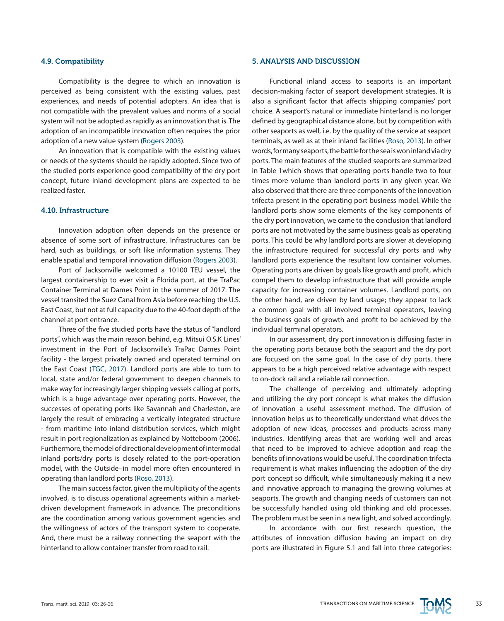#### 4.9. Compatibility

Compatibility is the degree to which an innovation is perceived as being consistent with the existing values, past experiences, and needs of potential adopters. An idea that is not compatible with the prevalent values and norms of a social system will not be adopted as rapidly as an innovation that is. The adoption of an incompatible innovation often requires the prior adoption of a new value system (Rogers 2003).

An innovation that is compatible with the existing values or needs of the systems should be rapidly adopted. Since two of the studied ports experience good compatibility of the dry port concept, future inland development plans are expected to be realized faster.

## 4.10. Infrastructure

Innovation adoption often depends on the presence or absence of some sort of infrastructure. Infrastructures can be hard, such as buildings, or soft like information systems. They enable spatial and temporal innovation diffusion (Rogers 2003).

Port of Jacksonville welcomed a 10100 TEU vessel, the largest containership to ever visit a Florida port, at the TraPac Container Terminal at Dames Point in the summer of 2017. The vessel transited the Suez Canal from Asia before reaching the U.S. East Coast, but not at full capacity due to the 40-foot depth of the channel at port entrance.

Three of the five studied ports have the status of "landlord ports", which was the main reason behind, e.g. Mitsui O.S.K Lines' investment in the Port of Jacksonville's TraPac Dames Point facility - the largest privately owned and operated terminal on the East Coast (TGC, 2017). Landlord ports are able to turn to local, state and/or federal government to deepen channels to make way for increasingly larger shipping vessels calling at ports, which is a huge advantage over operating ports. However, the successes of operating ports like Savannah and Charleston, are largely the result of embracing a vertically integrated structure - from maritime into inland distribution services, which might result in port regionalization as explained by Notteboom (2006). Furthermore, the model of directional development of intermodal inland ports/dry ports is closely related to the port-operation model, with the Outside–in model more often encountered in operating than landlord ports (Roso, 2013).

The main success factor, given the multiplicity of the agents involved, is to discuss operational agreements within a marketdriven development framework in advance. The preconditions are the coordination among various government agencies and the willingness of actors of the transport system to cooperate. And, there must be a railway connecting the seaport with the hinterland to allow container transfer from road to rail.

#### 5. ANALYSIS AND DISCUSSION

Functional inland access to seaports is an important decision-making factor of seaport development strategies. It is also a significant factor that affects shipping companies' port choice. A seaport's natural or immediate hinterland is no longer defined by geographical distance alone, but by competition with other seaports as well, i.e. by the quality of the service at seaport terminals, as well as at their inland facilities (Roso, 2013). In other words, for many seaports, the battle for the sea is won inland via dry ports. The main features of the studied seaports are summarized in Table 1which shows that operating ports handle two to four times more volume than landlord ports in any given year. We also observed that there are three components of the innovation trifecta present in the operating port business model. While the landlord ports show some elements of the key components of the dry port innovation, we came to the conclusion that landlord ports are not motivated by the same business goals as operating ports. This could be why landlord ports are slower at developing the infrastructure required for successful dry ports and why landlord ports experience the resultant low container volumes. Operating ports are driven by goals like growth and profit, which compel them to develop infrastructure that will provide ample capacity for increasing container volumes. Landlord ports, on the other hand, are driven by land usage; they appear to lack a common goal with all involved terminal operators, leaving the business goals of growth and profit to be achieved by the individual terminal operators.

In our assessment, dry port innovation is diffusing faster in the operating ports because both the seaport and the dry port are focused on the same goal. In the case of dry ports, there appears to be a high perceived relative advantage with respect to on-dock rail and a reliable rail connection.

The challenge of perceiving and ultimately adopting and utilizing the dry port concept is what makes the diffusion of innovation a useful assessment method. The diffusion of innovation helps us to theoretically understand what drives the adoption of new ideas, processes and products across many industries. Identifying areas that are working well and areas that need to be improved to achieve adoption and reap the benefits of innovations would be useful. The coordination trifecta requirement is what makes influencing the adoption of the dry port concept so difficult, while simultaneously making it a new and innovative approach to managing the growing volumes at seaports. The growth and changing needs of customers can not be successfully handled using old thinking and old processes. The problem must be seen in a new light, and solved accordingly.

In accordance with our first research question, the attributes of innovation diffusion having an impact on dry ports are illustrated in Figure 5.1 and fall into three categories:

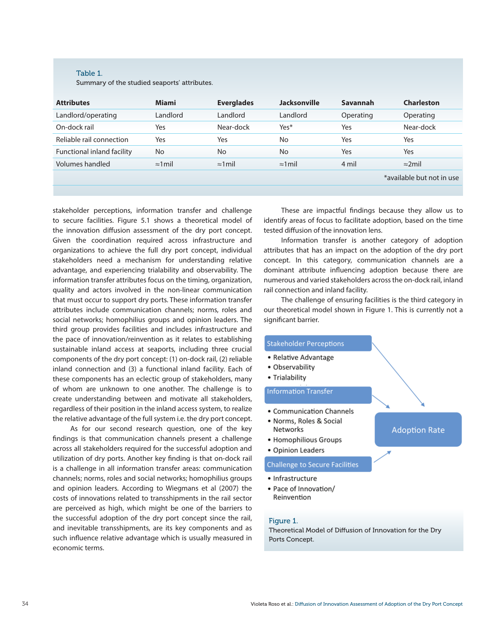#### Table 1.

Summary of the studied seaports' attributes.

| <b>Attributes</b>          | <b>Miami</b>    | <b>Everglades</b> | <b>Jacksonville</b> | Savannah  | <b>Charleston</b>         |
|----------------------------|-----------------|-------------------|---------------------|-----------|---------------------------|
| Landlord/operating         | Landlord        | Landlord          | Landlord            | Operating | Operating                 |
| On-dock rail               | Yes             | Near-dock         | Yes*                | Yes       | Near-dock                 |
| Reliable rail connection   | Yes             | Yes               | No                  | Yes       | Yes                       |
| Functional inland facility | No              | <b>No</b>         | No                  | Yes       | Yes                       |
| Volumes handled            | $\approx$ 1 mil | $\approx$ 1 mil   | $\approx$ 1 mil     | 4 mil     | $\approx$ 2mil            |
|                            |                 |                   |                     |           | *available but not in use |
|                            |                 |                   |                     |           |                           |

stakeholder perceptions, information transfer and challenge to secure facilities. Figure 5.1 shows a theoretical model of the innovation diffusion assessment of the dry port concept. Given the coordination required across infrastructure and organizations to achieve the full dry port concept, individual stakeholders need a mechanism for understanding relative advantage, and experiencing trialability and observability. The information transfer attributes focus on the timing, organization, quality and actors involved in the non-linear communication that must occur to support dry ports. These information transfer attributes include communication channels; norms, roles and social networks; homophilius groups and opinion leaders. The third group provides facilities and includes infrastructure and the pace of innovation/reinvention as it relates to establishing sustainable inland access at seaports, including three crucial components of the dry port concept: (1) on-dock rail, (2) reliable inland connection and (3) a functional inland facility. Each of these components has an eclectic group of stakeholders, many of whom are unknown to one another. The challenge is to create understanding between and motivate all stakeholders, regardless of their position in the inland access system, to realize the relative advantage of the full system i.e. the dry port concept.

As for our second research question, one of the key findings is that communication channels present a challenge across all stakeholders required for the successful adoption and utilization of dry ports. Another key finding is that on-dock rail is a challenge in all information transfer areas: communication channels; norms, roles and social networks; homophilius groups and opinion leaders. According to Wiegmans et al (2007) the costs of innovations related to transshipments in the rail sector are perceived as high, which might be one of the barriers to the successful adoption of the dry port concept since the rail, and inevitable transshipments, are its key components and as such influence relative advantage which is usually measured in economic terms.

These are impactful findings because they allow us to identify areas of focus to facilitate adoption, based on the time tested diffusion of the innovation lens.

Information transfer is another category of adoption attributes that has an impact on the adoption of the dry port concept. In this category, communication channels are a dominant attribute influencing adoption because there are numerous and varied stakeholders across the on-dock rail, inland rail connection and inland facility.

The challenge of ensuring facilities is the third category in our theoretical model shown in Figure 1. This is currently not a significant barrier.

**Adoption Rate** 

#### **Stakeholder Perceptions**

- Relative Advantage
- Observability
- Trialability

## **Information Transfer**

- Communication Channels
- Norms, Roles & Social **Networks**
- · Homophilious Groups
- Opinion Leaders

#### **Challenge to Secure Facilities**

- Infrastructure
- Pace of Innovation/ Reinvention

# Figure 1.

Theoretical Model of Diffusion of Innovation for the Dry Ports Concept.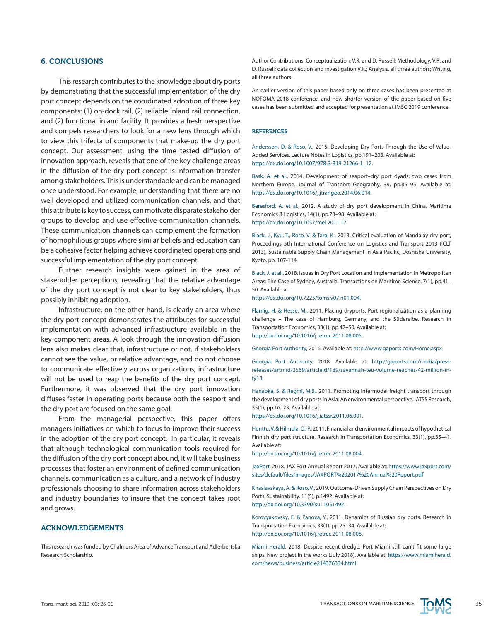#### 6. CONCLUSIONS

This research contributes to the knowledge about dry ports by demonstrating that the successful implementation of the dry port concept depends on the coordinated adoption of three key components: (1) on-dock rail, (2) reliable inland rail connection, and (2) functional inland facility. It provides a fresh perspective and compels researchers to look for a new lens through which to view this trifecta of components that make-up the dry port concept. Our assessment, using the time tested diffusion of innovation approach, reveals that one of the key challenge areas in the diffusion of the dry port concept is information transfer among stakeholders. This is understandable and can be managed once understood. For example, understanding that there are no well developed and utilized communication channels, and that this attribute is key to success, can motivate disparate stakeholder groups to develop and use effective communication channels. These communication channels can complement the formation of homophilious groups where similar beliefs and education can be a cohesive factor helping achieve coordinated operations and successful implementation of the dry port concept.

Further research insights were gained in the area of stakeholder perceptions, revealing that the relative advantage of the dry port concept is not clear to key stakeholders, thus possibly inhibiting adoption.

Infrastructure, on the other hand, is clearly an area where the dry port concept demonstrates the attributes for successful implementation with advanced infrastructure available in the key component areas. A look through the innovation diffusion lens also makes clear that, infrastructure or not, if stakeholders cannot see the value, or relative advantage, and do not choose to communicate effectively across organizations, infrastructure will not be used to reap the benefits of the dry port concept. Furthermore, it was observed that the dry port innovation diffuses faster in operating ports because both the seaport and the dry port are focused on the same goal.

From the managerial perspective, this paper offers managers initiatives on which to focus to improve their success in the adoption of the dry port concept. In particular, it reveals that although technological communication tools required for the diffusion of the dry port concept abound, it will take business processes that foster an environment of defined communication channels, communication as a culture, and a network of industry professionals choosing to share information across stakeholders and industry boundaries to insure that the concept takes root and grows.

### ACKNOWLEDGEMENTS

This research was funded by Chalmers Area of Advance Transport and Adlerbertska Research Scholarship.

Author Contributions: Conceptualization, V.R. and D. Russell; Methodology, V.R. and D. Russell; data collection and investigation V.R.; Analysis, all three authors; Writing, all three authors.

An earlier version of this paper based only on three cases has been presented at NOFOMA 2018 conference, and new shorter version of the paper based on five cases has been submitted and accepted for presentation at IMSC 2019 conference.

#### **REFERENCES**

Andersson, D. & Roso, V., 2015. Developing Dry Ports Through the Use of Value-Added Services. Lecture Notes in Logistics, pp.191–203. Available at: [https://dx.doi.org/10.1007/978-3-319-21266-1\\_12](https://dx.doi.org/10.1007/978-3-319-21266-1_12).

Bask, A. et al., 2014. Development of seaport–dry port dyads: two cases from Northern Europe. Journal of Transport Geography, 39, pp.85–95. Available at: [https://dx.doi.org/10.1016/j.jtrangeo.2014.06.014.](https://dx.doi.org/10.1016/j.jtrangeo.2014.06.014)

Beresford, A. et al., 2012. A study of dry port development in China. Maritime Economics & Logistics, 14(1), pp.73–98. Available at: [https://dx.doi.org/10.1057/mel.2011.17.](https://dx.doi.org/10.1057/mel.2011.17)

Black, J., Kyu, T., Roso, V. & Tara, K., 2013, Critical evaluation of Mandalay dry port, Proceedings 5th International Conference on Logistics and Transport 2013 (ICLT 2013), Sustainable Supply Chain Management in Asia Pacific, Doshisha University, Kyoto, pp. 107-114.

Black, J. et al., 2018. Issues in Dry Port Location and Implementation in Metropolitan Areas: The Case of Sydney, Australia. Transactions on Maritime Science, 7(1), pp.41– 50. Available at:

[https://dx.doi.org/10.7225/toms.v07.n01.004.](https://dx.doi.org/10.7225/toms.v07.n01.004)

Flämig, H. & Hesse, M., 2011. Placing dryports. Port regionalization as a planning challenge – The case of Hamburg, Germany, and the Süderelbe. Research in Transportation Economics, 33(1), pp.42–50. Available at: <http://dx.doi.org/10.1016/j.retrec.2011.08.005>.

Georgia Port Authority, 2016. Available at:<http://www.gaports.com/Home.aspx>

Georgia Port Authority, 2018. Available at: [http://gaports.com/media/press](http://gaports.com/media/press-releases/artmid/3569/articleid/189/savannah-teu-volume-reaches-42-million-in-fy18)[releases/artmid/3569/articleid/189/savannah-teu-volume-reaches-42-million-in](http://gaports.com/media/press-releases/artmid/3569/articleid/189/savannah-teu-volume-reaches-42-million-in-fy18)[fy18](http://gaports.com/media/press-releases/artmid/3569/articleid/189/savannah-teu-volume-reaches-42-million-in-fy18)

Hanaoka, S. & Regmi, M.B., 2011. Promoting intermodal freight transport through the development of dry ports in Asia: An environmental perspective. IATSS Research, 35(1), pp.16–23. Available at:

<https://dx.doi.org/10.1016/j.iatssr.2011.06.001>.

Henttu, V. & Hilmola, O.-P., 2011. Financial and environmental impacts of hypothetical Finnish dry port structure. Research in Transportation Economics, 33(1), pp.35–41. Available at:

<http://dx.doi.org/10.1016/j.retrec.2011.08.004>.

JaxPort, 2018. JAX Port Annual Report 2017. Available at: [https://www.jaxport.com/](https://www.jaxport.com/sites/default/files/images/JAXPORT%25202017%2520Annual%2520Report.pdf) [sites/default/files/images/JAXPORT%202017%20Annual%20Report.pdf](https://www.jaxport.com/sites/default/files/images/JAXPORT%25202017%2520Annual%2520Report.pdf)

Khaslavskaya, A. & Roso, V., 2019. Outcome-Driven Supply Chain Perspectives on Dry Ports. Sustainability, 11(5), p.1492. Available at: <http://dx.doi.org/10.3390/su11051492>.

Korovyakovsky, E. & Panova, Y., 2011. Dynamics of Russian dry ports. Research in Transportation Economics, 33(1), pp.25–34. Available at: <http://dx.doi.org/10.1016/j.retrec.2011.08.008>.

Miami Herald, 2018. Despite recent dredge, Port Miami still can't fit some large ships. New project in the works (July 2018). Available at: [https://www.miamiherald.](https://www.miamiherald.com/news/business/article214376334.html) [com/news/business/article214376334.html](https://www.miamiherald.com/news/business/article214376334.html)